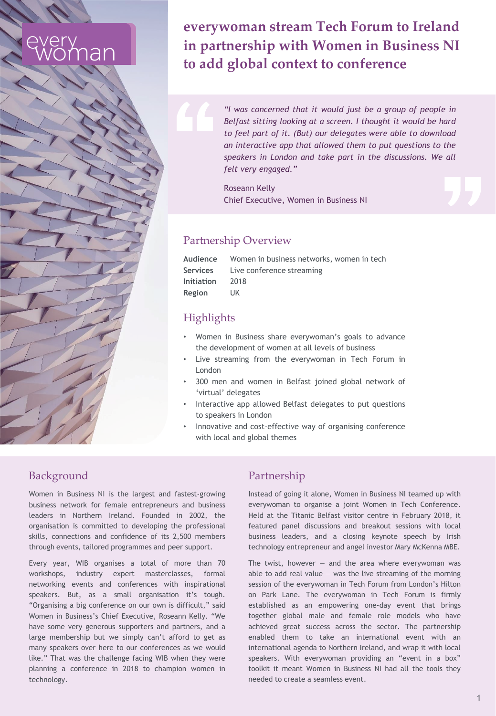## **everywoman stream Tech Forum to Ireland in partnership with Women in Business NI to add global context to conference**

*"I was concerned that it would just be a group of people in Belfast sitting looking at a screen. I thought it would be hard to feel part of it. (But) our delegates were able to download an interactive app that allowed them to put questions to the speakers in London and take part in the discussions. We all felt very engaged."*

Roseann Kelly Chief Executive, Women in Business NI

# Partnership Overview

| Audience   | Women in business networks, women in tech |
|------------|-------------------------------------------|
| Services   | Live conference streaming                 |
| Initiation | 2018                                      |
| Region     | UK                                        |

### **Highlights**

- Women in Business share everywoman's goals to advance the development of women at all levels of business
- Live streaming from the everywoman in Tech Forum in London
- 300 men and women in Belfast joined global network of 'virtual' delegates
- Interactive app allowed Belfast delegates to put questions to speakers in London
- Innovative and cost-effective way of organising conference with local and global themes

#### Background

Women in Business NI is the largest and fastest-growing business network for female entrepreneurs and business leaders in Northern Ireland. Founded in 2002, the organisation is committed to developing the professional skills, connections and confidence of its 2,500 members through events, tailored programmes and peer support.

Every year, WIB organises a total of more than 70 workshops, industry expert masterclasses, formal networking events and conferences with inspirational speakers. But, as a small organisation it's tough. "Organising a big conference on our own is difficult," said Women in Business's Chief Executive, Roseann Kelly. "We have some very generous supporters and partners, and a large membership but we simply can't afford to get as many speakers over here to our conferences as we would like." That was the challenge facing WIB when they were planning a conference in 2018 to champion women in technology.

#### Partnership

Instead of going it alone, Women in Business NI teamed up with everywoman to organise a joint Women in Tech Conference. Held at the Titanic Belfast visitor centre in February 2018, it featured panel discussions and breakout sessions with local business leaders, and a closing keynote speech by Irish technology entrepreneur and angel investor Mary McKenna MBE.

The twist, however  $-$  and the area where everywoman was able to add real value  $-$  was the live streaming of the morning session of the everywoman in Tech Forum from London's Hilton on Park Lane. The everywoman in Tech Forum is firmly established as an empowering one-day event that brings together global male and female role models who have achieved great success across the sector. The partnership enabled them to take an international event with an international agenda to Northern Ireland, and wrap it with local speakers. With everywoman providing an "event in a box" toolkit it meant Women in Business NI had all the tools they needed to create a seamless event.